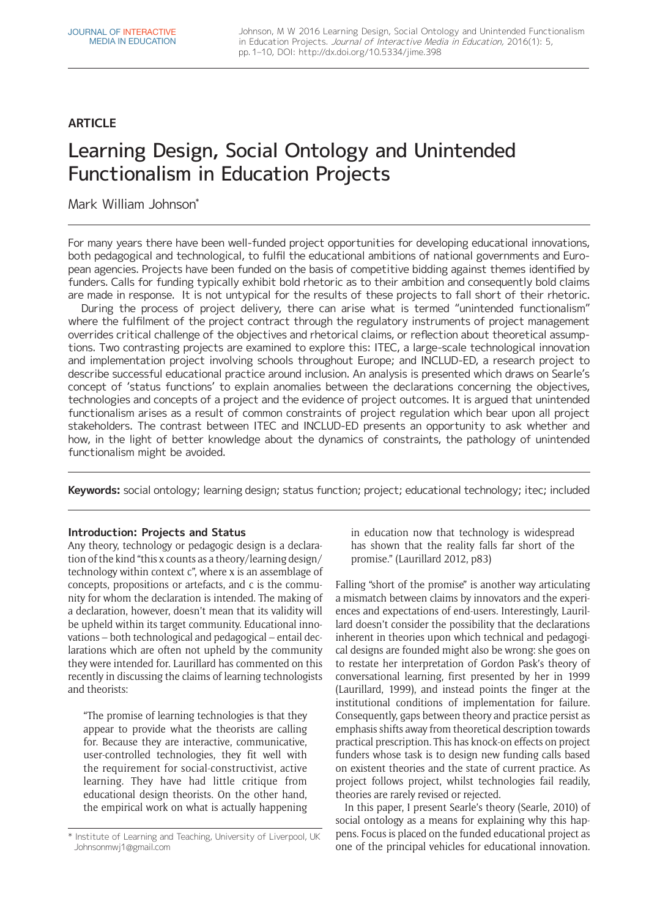## **ARTICLE**

# Learning Design, Social Ontology and Unintended Functionalism in Education Projects

Mark William Johnson\*

For many years there have been well-funded project opportunities for developing educational innovations, both pedagogical and technological, to fulfil the educational ambitions of national governments and European agencies. Projects have been funded on the basis of competitive bidding against themes identified by funders. Calls for funding typically exhibit bold rhetoric as to their ambition and consequently bold claims are made in response. It is not untypical for the results of these projects to fall short of their rhetoric.

During the process of project delivery, there can arise what is termed "unintended functionalism" where the fulfilment of the project contract through the regulatory instruments of project management overrides critical challenge of the objectives and rhetorical claims, or reflection about theoretical assumptions. Two contrasting projects are examined to explore this: ITEC, a large-scale technological innovation and implementation project involving schools throughout Europe; and INCLUD-ED, a research project to describe successful educational practice around inclusion. An analysis is presented which draws on Searle's concept of 'status functions' to explain anomalies between the declarations concerning the objectives, technologies and concepts of a project and the evidence of project outcomes. It is argued that unintended functionalism arises as a result of common constraints of project regulation which bear upon all project stakeholders. The contrast between ITEC and INCLUD-ED presents an opportunity to ask whether and how, in the light of better knowledge about the dynamics of constraints, the pathology of unintended functionalism might be avoided.

**Keywords:** social ontology; learning design; status function; project; educational technology; itec; included

## **Introduction: Projects and Status**

Any theory, technology or pedagogic design is a declaration of the kind "this x counts as a theory/learning design/ technology within context c", where x is an assemblage of concepts, propositions or artefacts, and c is the community for whom the declaration is intended. The making of a declaration, however, doesn't mean that its validity will be upheld within its target community. Educational innovations – both technological and pedagogical – entail declarations which are often not upheld by the community they were intended for. Laurillard has commented on this recently in discussing the claims of learning technologists and theorists:

"The promise of learning technologies is that they appear to provide what the theorists are calling for. Because they are interactive, communicative, user-controlled technologies, they fit well with the requirement for social-constructivist, active learning. They have had little critique from educational design theorists. On the other hand, the empirical work on what is actually happening in education now that technology is widespread has shown that the reality falls far short of the promise." (Laurillard 2012, p83)

Falling "short of the promise" is another way articulating a mismatch between claims by innovators and the experiences and expectations of end-users. Interestingly, Laurillard doesn't consider the possibility that the declarations inherent in theories upon which technical and pedagogical designs are founded might also be wrong: she goes on to restate her interpretation of Gordon Pask's theory of conversational learning, first presented by her in 1999 (Laurillard, 1999), and instead points the finger at the institutional conditions of implementation for failure. Consequently, gaps between theory and practice persist as emphasis shifts away from theoretical description towards practical prescription. This has knock-on effects on project funders whose task is to design new funding calls based on existent theories and the state of current practice. As project follows project, whilst technologies fail readily, theories are rarely revised or rejected.

In this paper, I present Searle's theory (Searle, 2010) of social ontology as a means for explaining why this happens. Focus is placed on the funded educational project as one of the principal vehicles for educational innovation.

<sup>\*</sup> Institute of Learning and Teaching, University of Liverpool, UK [Johnsonmwj1@gmail.com](mailto:Johnsonmwj1@gmail.com)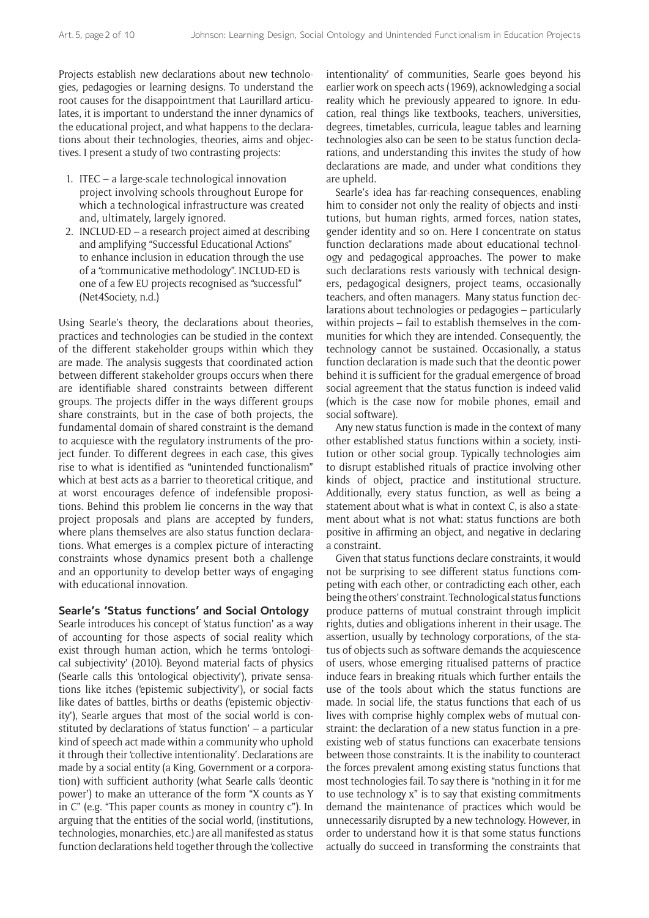Projects establish new declarations about new technologies, pedagogies or learning designs. To understand the root causes for the disappointment that Laurillard articulates, it is important to understand the inner dynamics of the educational project, and what happens to the declarations about their technologies, theories, aims and objectives. I present a study of two contrasting projects:

- 1. ITEC a large-scale technological innovation project involving schools throughout Europe for which a technological infrastructure was created and, ultimately, largely ignored.
- 2. INCLUD-ED a research project aimed at describing and amplifying "Successful Educational Actions" to enhance inclusion in education through the use of a "communicative methodology". INCLUD-ED is one of a few EU projects recognised as "successful" (Net4Society, n.d.)

Using Searle's theory, the declarations about theories, practices and technologies can be studied in the context of the different stakeholder groups within which they are made. The analysis suggests that coordinated action between different stakeholder groups occurs when there are identifiable shared constraints between different groups. The projects differ in the ways different groups share constraints, but in the case of both projects, the fundamental domain of shared constraint is the demand to acquiesce with the regulatory instruments of the project funder. To different degrees in each case, this gives rise to what is identified as "unintended functionalism" which at best acts as a barrier to theoretical critique, and at worst encourages defence of indefensible propositions. Behind this problem lie concerns in the way that project proposals and plans are accepted by funders, where plans themselves are also status function declarations. What emerges is a complex picture of interacting constraints whose dynamics present both a challenge and an opportunity to develop better ways of engaging with educational innovation.

#### **Searle's 'Status functions' and Social Ontology**

Searle introduces his concept of 'status function' as a way of accounting for those aspects of social reality which exist through human action, which he terms 'ontological subjectivity' (2010). Beyond material facts of physics (Searle calls this 'ontological objectivity'), private sensations like itches ('epistemic subjectivity'), or social facts like dates of battles, births or deaths ('epistemic objectivity'), Searle argues that most of the social world is constituted by declarations of 'status function' – a particular kind of speech act made within a community who uphold it through their 'collective intentionality'. Declarations are made by a social entity (a King, Government or a corporation) with sufficient authority (what Searle calls 'deontic power') to make an utterance of the form "X counts as Y in C" (e.g. "This paper counts as money in country c"). In arguing that the entities of the social world, (institutions, technologies, monarchies, etc.) are all manifested as status function declarations held together through the 'collective

intentionality' of communities, Searle goes beyond his earlier work on speech acts (1969), acknowledging a social reality which he previously appeared to ignore. In education, real things like textbooks, teachers, universities, degrees, timetables, curricula, league tables and learning technologies also can be seen to be status function declarations, and understanding this invites the study of how declarations are made, and under what conditions they are upheld.

Searle's idea has far-reaching consequences, enabling him to consider not only the reality of objects and institutions, but human rights, armed forces, nation states, gender identity and so on. Here I concentrate on status function declarations made about educational technology and pedagogical approaches. The power to make such declarations rests variously with technical designers, pedagogical designers, project teams, occasionally teachers, and often managers. Many status function declarations about technologies or pedagogies – particularly within projects – fail to establish themselves in the communities for which they are intended. Consequently, the technology cannot be sustained. Occasionally, a status function declaration is made such that the deontic power behind it is sufficient for the gradual emergence of broad social agreement that the status function is indeed valid (which is the case now for mobile phones, email and social software).

Any new status function is made in the context of many other established status functions within a society, institution or other social group. Typically technologies aim to disrupt established rituals of practice involving other kinds of object, practice and institutional structure. Additionally, every status function, as well as being a statement about what is what in context C, is also a statement about what is not what: status functions are both positive in affirming an object, and negative in declaring a constraint.

Given that status functions declare constraints, it would not be surprising to see different status functions competing with each other, or contradicting each other, each being the others' constraint. Technological status functions produce patterns of mutual constraint through implicit rights, duties and obligations inherent in their usage. The assertion, usually by technology corporations, of the status of objects such as software demands the acquiescence of users, whose emerging ritualised patterns of practice induce fears in breaking rituals which further entails the use of the tools about which the status functions are made. In social life, the status functions that each of us lives with comprise highly complex webs of mutual constraint: the declaration of a new status function in a preexisting web of status functions can exacerbate tensions between those constraints. It is the inability to counteract the forces prevalent among existing status functions that most technologies fail. To say there is "nothing in it for me to use technology x" is to say that existing commitments demand the maintenance of practices which would be unnecessarily disrupted by a new technology. However, in order to understand how it is that some status functions actually do succeed in transforming the constraints that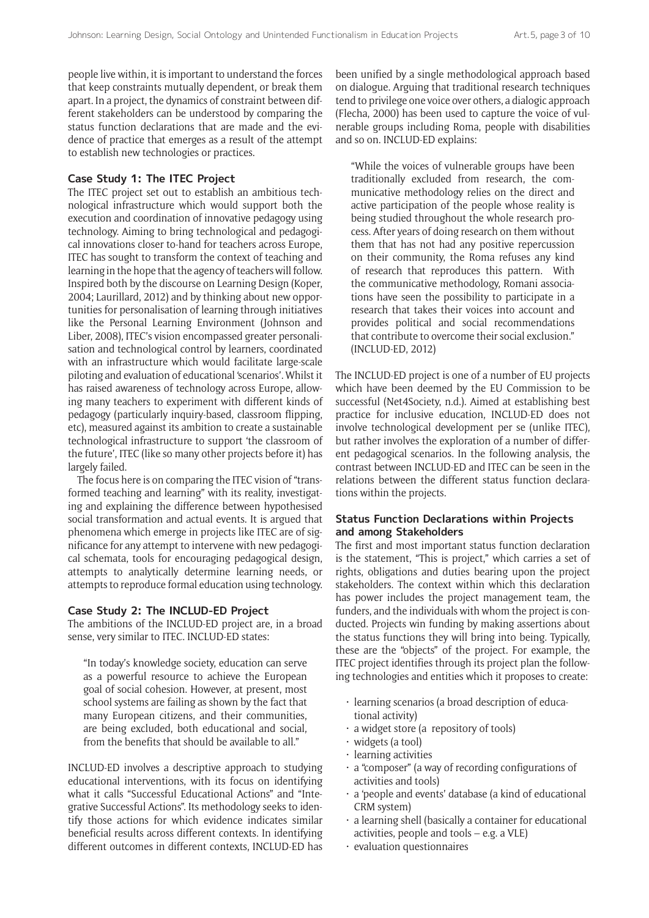people live within, it is important to understand the forces that keep constraints mutually dependent, or break them apart. In a project, the dynamics of constraint between different stakeholders can be understood by comparing the status function declarations that are made and the evidence of practice that emerges as a result of the attempt to establish new technologies or practices.

#### **Case Study 1: The ITEC Project**

The ITEC project set out to establish an ambitious technological infrastructure which would support both the execution and coordination of innovative pedagogy using technology. Aiming to bring technological and pedagogical innovations closer to-hand for teachers across Europe, ITEC has sought to transform the context of teaching and learning in the hope that the agency of teachers will follow. Inspired both by the discourse on Learning Design (Koper, 2004; Laurillard, 2012) and by thinking about new opportunities for personalisation of learning through initiatives like the Personal Learning Environment (Johnson and Liber, 2008), ITEC's vision encompassed greater personalisation and technological control by learners, coordinated with an infrastructure which would facilitate large-scale piloting and evaluation of educational 'scenarios'. Whilst it has raised awareness of technology across Europe, allowing many teachers to experiment with different kinds of pedagogy (particularly inquiry-based, classroom flipping, etc), measured against its ambition to create a sustainable technological infrastructure to support 'the classroom of the future', ITEC (like so many other projects before it) has largely failed.

The focus here is on comparing the ITEC vision of "transformed teaching and learning" with its reality, investigating and explaining the difference between hypothesised social transformation and actual events. It is argued that phenomena which emerge in projects like ITEC are of significance for any attempt to intervene with new pedagogical schemata, tools for encouraging pedagogical design, attempts to analytically determine learning needs, or attempts to reproduce formal education using technology.

#### **Case Study 2: The INCLUD-ED Project**

The ambitions of the INCLUD-ED project are, in a broad sense, very similar to ITEC. INCLUD-ED states:

"In today's knowledge society, education can serve as a powerful resource to achieve the European goal of social cohesion. However, at present, most school systems are failing as shown by the fact that many European citizens, and their communities, are being excluded, both educational and social, from the benefits that should be available to all."

INCLUD-ED involves a descriptive approach to studying educational interventions, with its focus on identifying what it calls "Successful Educational Actions" and "Integrative Successful Actions". Its methodology seeks to identify those actions for which evidence indicates similar beneficial results across different contexts. In identifying different outcomes in different contexts, INCLUD-ED has been unified by a single methodological approach based on dialogue. Arguing that traditional research techniques tend to privilege one voice over others, a dialogic approach (Flecha, 2000) has been used to capture the voice of vulnerable groups including Roma, people with disabilities and so on. INCLUD-ED explains:

"While the voices of vulnerable groups have been traditionally excluded from research, the communicative methodology relies on the direct and active participation of the people whose reality is being studied throughout the whole research process. After years of doing research on them without them that has not had any positive repercussion on their community, the Roma refuses any kind of research that reproduces this pattern. With the communicative methodology, Romani associations have seen the possibility to participate in a research that takes their voices into account and provides political and social recommendations that contribute to overcome their social exclusion." (INCLUD-ED, 2012)

The INCLUD-ED project is one of a number of EU projects which have been deemed by the EU Commission to be successful (Net4Society, n.d.). Aimed at establishing best practice for inclusive education, INCLUD-ED does not involve technological development per se (unlike ITEC), but rather involves the exploration of a number of different pedagogical scenarios. In the following analysis, the contrast between INCLUD-ED and ITEC can be seen in the relations between the different status function declarations within the projects.

## **Status Function Declarations within Projects and among Stakeholders**

The first and most important status function declaration is the statement, "This is project," which carries a set of rights, obligations and duties bearing upon the project stakeholders. The context within which this declaration has power includes the project management team, the funders, and the individuals with whom the project is conducted. Projects win funding by making assertions about the status functions they will bring into being. Typically, these are the "objects" of the project. For example, the ITEC project identifies through its project plan the following technologies and entities which it proposes to create:

- learning scenarios (a broad description of educational activity)
- a widget store (a repository of tools)
- widgets (a tool)
- learning activities
- a "composer" (a way of recording configurations of activities and tools)
- a 'people and events' database (a kind of educational CRM system)
- a learning shell (basically a container for educational activities, people and tools – e.g. a VLE)
- evaluation questionnaires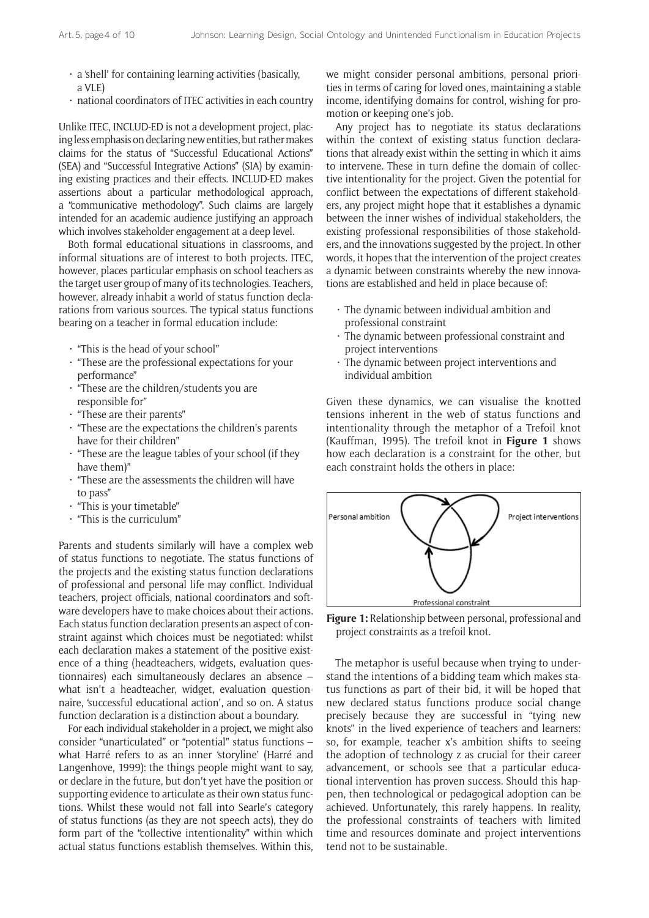- a 'shell' for containing learning activities (basically, a VLE)
- national coordinators of ITEC activities in each country

Unlike ITEC, INCLUD-ED is not a development project, placing less emphasis on declaring new entities, but rather makes claims for the status of "Successful Educational Actions" (SEA) and "Successful Integrative Actions" (SIA) by examining existing practices and their effects. INCLUD-ED makes assertions about a particular methodological approach, a "communicative methodology". Such claims are largely intended for an academic audience justifying an approach which involves stakeholder engagement at a deep level.

Both formal educational situations in classrooms, and informal situations are of interest to both projects. ITEC, however, places particular emphasis on school teachers as the target user group of many of its technologies. Teachers, however, already inhabit a world of status function declarations from various sources. The typical status functions bearing on a teacher in formal education include:

- "This is the head of your school"
- "These are the professional expectations for your performance"
- "These are the children/students you are responsible for"
- "These are their parents"
- "These are the expectations the children's parents have for their children"
- "These are the league tables of your school (if they have them)"
- "These are the assessments the children will have to pass"
- "This is your timetable"
- "This is the curriculum"

Parents and students similarly will have a complex web of status functions to negotiate. The status functions of the projects and the existing status function declarations of professional and personal life may conflict. Individual teachers, project officials, national coordinators and software developers have to make choices about their actions. Each status function declaration presents an aspect of constraint against which choices must be negotiated: whilst each declaration makes a statement of the positive existence of a thing (headteachers, widgets, evaluation questionnaires) each simultaneously declares an absence – what isn't a headteacher, widget, evaluation questionnaire, 'successful educational action', and so on. A status function declaration is a distinction about a boundary.

For each individual stakeholder in a project, we might also consider "unarticulated" or "potential" status functions – what Harré refers to as an inner 'storyline' (Harré and Langenhove, 1999): the things people might want to say, or declare in the future, but don't yet have the position or supporting evidence to articulate as their own status functions. Whilst these would not fall into Searle's category of status functions (as they are not speech acts), they do form part of the "collective intentionality" within which actual status functions establish themselves. Within this, we might consider personal ambitions, personal priorities in terms of caring for loved ones, maintaining a stable income, identifying domains for control, wishing for promotion or keeping one's job.

Any project has to negotiate its status declarations within the context of existing status function declarations that already exist within the setting in which it aims to intervene. These in turn define the domain of collective intentionality for the project. Given the potential for conflict between the expectations of different stakeholders, any project might hope that it establishes a dynamic between the inner wishes of individual stakeholders, the existing professional responsibilities of those stakeholders, and the innovations suggested by the project. In other words, it hopes that the intervention of the project creates a dynamic between constraints whereby the new innovations are established and held in place because of:

- The dynamic between individual ambition and professional constraint
- The dynamic between professional constraint and project interventions
- The dynamic between project interventions and individual ambition

Given these dynamics, we can visualise the knotted tensions inherent in the web of status functions and intentionality through the metaphor of a Trefoil knot (Kauffman, 1995). The trefoil knot in **Figure 1** shows how each declaration is a constraint for the other, but each constraint holds the others in place:



**Figure 1:** Relationship between personal, professional and project constraints as a trefoil knot.

The metaphor is useful because when trying to understand the intentions of a bidding team which makes status functions as part of their bid, it will be hoped that new declared status functions produce social change precisely because they are successful in "tying new knots" in the lived experience of teachers and learners: so, for example, teacher x's ambition shifts to seeing the adoption of technology z as crucial for their career advancement, or schools see that a particular educational intervention has proven success. Should this happen, then technological or pedagogical adoption can be achieved. Unfortunately, this rarely happens. In reality, the professional constraints of teachers with limited time and resources dominate and project interventions tend not to be sustainable.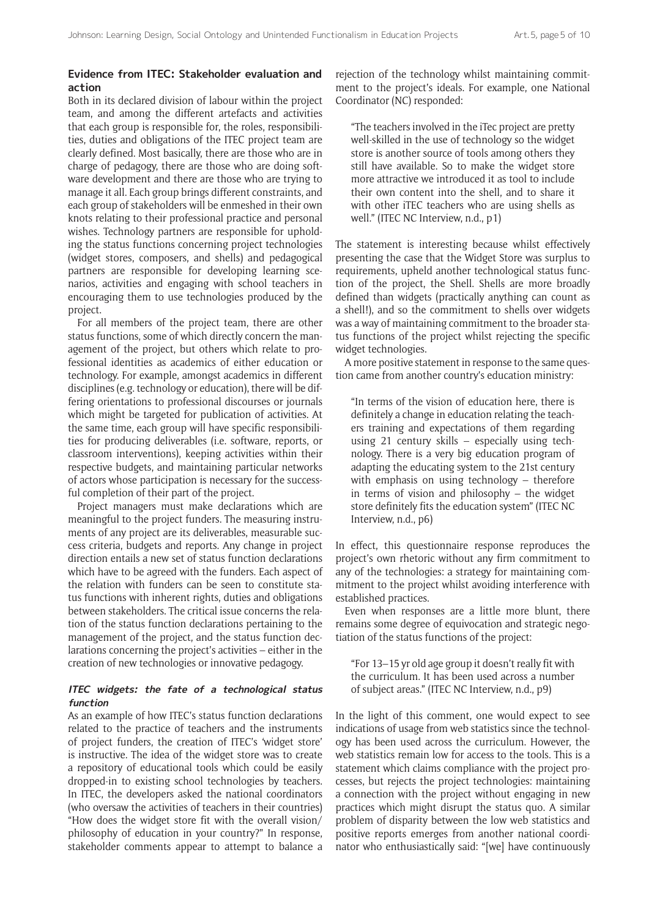## **Evidence from ITEC: Stakeholder evaluation and action**

Both in its declared division of labour within the project team, and among the different artefacts and activities that each group is responsible for, the roles, responsibilities, duties and obligations of the ITEC project team are clearly defined. Most basically, there are those who are in charge of pedagogy, there are those who are doing software development and there are those who are trying to manage it all. Each group brings different constraints, and each group of stakeholders will be enmeshed in their own knots relating to their professional practice and personal wishes. Technology partners are responsible for upholding the status functions concerning project technologies (widget stores, composers, and shells) and pedagogical partners are responsible for developing learning scenarios, activities and engaging with school teachers in encouraging them to use technologies produced by the project.

For all members of the project team, there are other status functions, some of which directly concern the management of the project, but others which relate to professional identities as academics of either education or technology. For example, amongst academics in different disciplines (e.g. technology or education), there will be differing orientations to professional discourses or journals which might be targeted for publication of activities. At the same time, each group will have specific responsibilities for producing deliverables (i.e. software, reports, or classroom interventions), keeping activities within their respective budgets, and maintaining particular networks of actors whose participation is necessary for the successful completion of their part of the project.

Project managers must make declarations which are meaningful to the project funders. The measuring instruments of any project are its deliverables, measurable success criteria, budgets and reports. Any change in project direction entails a new set of status function declarations which have to be agreed with the funders. Each aspect of the relation with funders can be seen to constitute status functions with inherent rights, duties and obligations between stakeholders. The critical issue concerns the relation of the status function declarations pertaining to the management of the project, and the status function declarations concerning the project's activities – either in the creation of new technologies or innovative pedagogy.

#### **ITEC widgets: the fate of a technological status function**

As an example of how ITEC's status function declarations related to the practice of teachers and the instruments of project funders, the creation of ITEC's 'widget store' is instructive. The idea of the widget store was to create a repository of educational tools which could be easily dropped-in to existing school technologies by teachers. In ITEC, the developers asked the national coordinators (who oversaw the activities of teachers in their countries) "How does the widget store fit with the overall vision/ philosophy of education in your country?" In response, stakeholder comments appear to attempt to balance a

rejection of the technology whilst maintaining commitment to the project's ideals. For example, one National Coordinator (NC) responded:

"The teachers involved in the iTec project are pretty well-skilled in the use of technology so the widget store is another source of tools among others they still have available. So to make the widget store more attractive we introduced it as tool to include their own content into the shell, and to share it with other iTEC teachers who are using shells as well." (ITEC NC Interview, n.d., p1)

The statement is interesting because whilst effectively presenting the case that the Widget Store was surplus to requirements, upheld another technological status function of the project, the Shell. Shells are more broadly defined than widgets (practically anything can count as a shell!), and so the commitment to shells over widgets was a way of maintaining commitment to the broader status functions of the project whilst rejecting the specific widget technologies.

A more positive statement in response to the same question came from another country's education ministry:

"In terms of the vision of education here, there is definitely a change in education relating the teachers training and expectations of them regarding using 21 century skills – especially using technology. There is a very big education program of adapting the educating system to the 21st century with emphasis on using technology – therefore in terms of vision and philosophy – the widget store definitely fits the education system" (ITEC NC Interview, n.d., p6)

In effect, this questionnaire response reproduces the project's own rhetoric without any firm commitment to any of the technologies: a strategy for maintaining commitment to the project whilst avoiding interference with established practices.

Even when responses are a little more blunt, there remains some degree of equivocation and strategic negotiation of the status functions of the project:

"For 13–15 yr old age group it doesn't really fit with the curriculum. It has been used across a number of subject areas." (ITEC NC Interview, n.d., p9)

In the light of this comment, one would expect to see indications of usage from web statistics since the technology has been used across the curriculum. However, the web statistics remain low for access to the tools. This is a statement which claims compliance with the project processes, but rejects the project technologies: maintaining a connection with the project without engaging in new practices which might disrupt the status quo. A similar problem of disparity between the low web statistics and positive reports emerges from another national coordinator who enthusiastically said: "[we] have continuously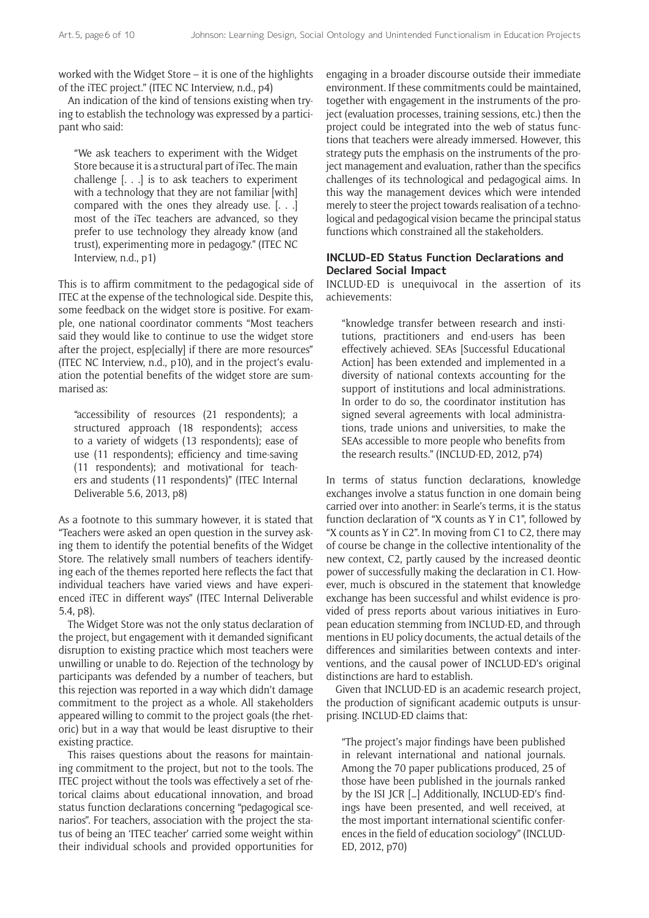worked with the Widget Store – it is one of the highlights of the iTEC project." (ITEC NC Interview, n.d., p4)

An indication of the kind of tensions existing when trying to establish the technology was expressed by a participant who said:

"We ask teachers to experiment with the Widget Store because it is a structural part of iTec. The main challenge [. . .] is to ask teachers to experiment with a technology that they are not familiar [with] compared with the ones they already use. [. . .] most of the iTec teachers are advanced, so they prefer to use technology they already know (and trust), experimenting more in pedagogy." (ITEC NC Interview, n.d., p1)

This is to affirm commitment to the pedagogical side of ITEC at the expense of the technological side. Despite this, some feedback on the widget store is positive. For example, one national coordinator comments "Most teachers said they would like to continue to use the widget store after the project, esp[ecially] if there are more resources" (ITEC NC Interview, n.d., p10), and in the project's evaluation the potential benefits of the widget store are summarised as:

"accessibility of resources (21 respondents); a structured approach (18 respondents); access to a variety of widgets (13 respondents); ease of use (11 respondents); efficiency and time-saving (11 respondents); and motivational for teachers and students (11 respondents)" (ITEC Internal Deliverable 5.6, 2013, p8)

As a footnote to this summary however, it is stated that "Teachers were asked an open question in the survey asking them to identify the potential benefits of the Widget Store. The relatively small numbers of teachers identifying each of the themes reported here reflects the fact that individual teachers have varied views and have experienced iTEC in different ways" (ITEC Internal Deliverable 5.4, p8).

The Widget Store was not the only status declaration of the project, but engagement with it demanded significant disruption to existing practice which most teachers were unwilling or unable to do. Rejection of the technology by participants was defended by a number of teachers, but this rejection was reported in a way which didn't damage commitment to the project as a whole. All stakeholders appeared willing to commit to the project goals (the rhetoric) but in a way that would be least disruptive to their existing practice.

This raises questions about the reasons for maintaining commitment to the project, but not to the tools. The ITEC project without the tools was effectively a set of rhetorical claims about educational innovation, and broad status function declarations concerning "pedagogical scenarios". For teachers, association with the project the status of being an 'ITEC teacher' carried some weight within their individual schools and provided opportunities for engaging in a broader discourse outside their immediate environment. If these commitments could be maintained, together with engagement in the instruments of the project (evaluation processes, training sessions, etc.) then the project could be integrated into the web of status functions that teachers were already immersed. However, this strategy puts the emphasis on the instruments of the project management and evaluation, rather than the specifics challenges of its technological and pedagogical aims. In this way the management devices which were intended merely to steer the project towards realisation of a technological and pedagogical vision became the principal status functions which constrained all the stakeholders.

## **INCLUD-ED Status Function Declarations and Declared Social Impact**

INCLUD-ED is unequivocal in the assertion of its achievements:

"knowledge transfer between research and institutions, practitioners and end-users has been effectively achieved. SEAs [Successful Educational Action] has been extended and implemented in a diversity of national contexts accounting for the support of institutions and local administrations. In order to do so, the coordinator institution has signed several agreements with local administrations, trade unions and universities, to make the SEAs accessible to more people who benefits from the research results." (INCLUD-ED, 2012, p74)

In terms of status function declarations, knowledge exchanges involve a status function in one domain being carried over into another: in Searle's terms, it is the status function declaration of "X counts as Y in C1", followed by "X counts as Y in C2". In moving from C1 to C2, there may of course be change in the collective intentionality of the new context, C2, partly caused by the increased deontic power of successfully making the declaration in C1. However, much is obscured in the statement that knowledge exchange has been successful and whilst evidence is provided of press reports about various initiatives in European education stemming from INCLUD-ED, and through mentions in EU policy documents, the actual details of the differences and similarities between contexts and interventions, and the causal power of INCLUD-ED's original distinctions are hard to establish.

Given that INCLUD-ED is an academic research project, the production of significant academic outputs is unsurprising. INCLUD-ED claims that:

"The project's major findings have been published in relevant international and national journals. Among the 70 paper publications produced, 25 of those have been published in the journals ranked by the ISI JCR […] Additionally, INCLUD-ED's findings have been presented, and well received, at the most important international scientific conferences in the field of education sociology" (INCLUD-ED, 2012, p70)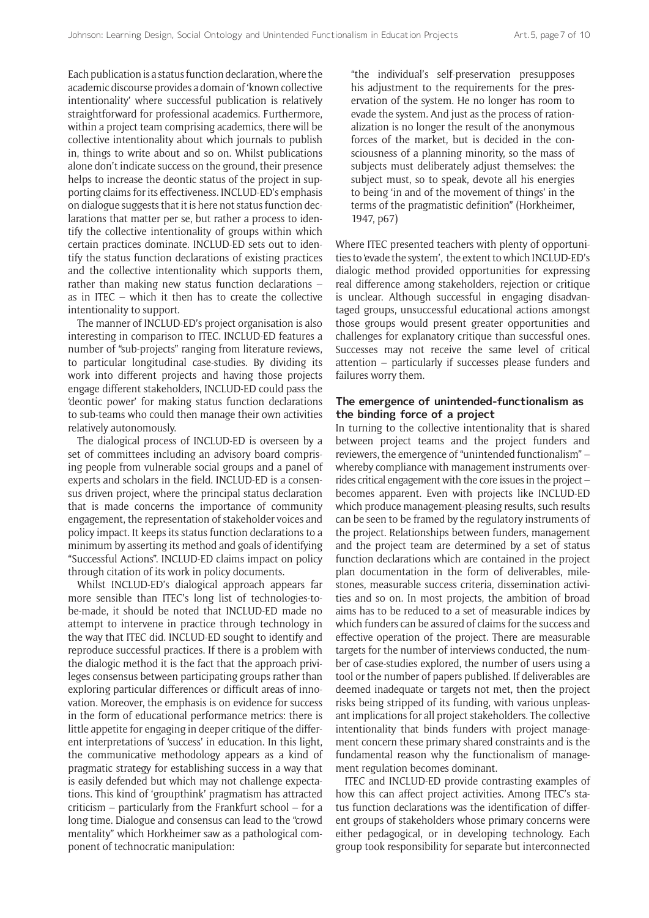Each publication is a status function declaration, where the academic discourse provides a domain of 'known collective intentionality' where successful publication is relatively straightforward for professional academics. Furthermore, within a project team comprising academics, there will be collective intentionality about which journals to publish in, things to write about and so on. Whilst publications alone don't indicate success on the ground, their presence helps to increase the deontic status of the project in supporting claims for its effectiveness. INCLUD-ED's emphasis on dialogue suggests that it is here not status function declarations that matter per se, but rather a process to identify the collective intentionality of groups within which certain practices dominate. INCLUD-ED sets out to identify the status function declarations of existing practices and the collective intentionality which supports them, rather than making new status function declarations – as in ITEC – which it then has to create the collective intentionality to support.

The manner of INCLUD-ED's project organisation is also interesting in comparison to ITEC. INCLUD-ED features a number of "sub-projects" ranging from literature reviews, to particular longitudinal case-studies. By dividing its work into different projects and having those projects engage different stakeholders, INCLUD-ED could pass the 'deontic power' for making status function declarations to sub-teams who could then manage their own activities relatively autonomously.

The dialogical process of INCLUD-ED is overseen by a set of committees including an advisory board comprising people from vulnerable social groups and a panel of experts and scholars in the field. INCLUD-ED is a consensus driven project, where the principal status declaration that is made concerns the importance of community engagement, the representation of stakeholder voices and policy impact. It keeps its status function declarations to a minimum by asserting its method and goals of identifying "Successful Actions". INCLUD-ED claims impact on policy through citation of its work in policy documents.

Whilst INCLUD-ED's dialogical approach appears far more sensible than ITEC's long list of technologies-tobe-made, it should be noted that INCLUD-ED made no attempt to intervene in practice through technology in the way that ITEC did. INCLUD-ED sought to identify and reproduce successful practices. If there is a problem with the dialogic method it is the fact that the approach privileges consensus between participating groups rather than exploring particular differences or difficult areas of innovation. Moreover, the emphasis is on evidence for success in the form of educational performance metrics: there is little appetite for engaging in deeper critique of the different interpretations of 'success' in education. In this light, the communicative methodology appears as a kind of pragmatic strategy for establishing success in a way that is easily defended but which may not challenge expectations. This kind of 'groupthink' pragmatism has attracted criticism – particularly from the Frankfurt school – for a long time. Dialogue and consensus can lead to the "crowd mentality" which Horkheimer saw as a pathological component of technocratic manipulation:

"the individual's self-preservation presupposes his adjustment to the requirements for the preservation of the system. He no longer has room to evade the system. And just as the process of rationalization is no longer the result of the anonymous forces of the market, but is decided in the consciousness of a planning minority, so the mass of subjects must deliberately adjust themselves: the subject must, so to speak, devote all his energies to being 'in and of the movement of things' in the terms of the pragmatistic definition" (Horkheimer, 1947, p67)

Where ITEC presented teachers with plenty of opportunities to 'evade the system', the extent to which INCLUD-ED's dialogic method provided opportunities for expressing real difference among stakeholders, rejection or critique is unclear. Although successful in engaging disadvantaged groups, unsuccessful educational actions amongst those groups would present greater opportunities and challenges for explanatory critique than successful ones. Successes may not receive the same level of critical attention – particularly if successes please funders and failures worry them.

#### **The emergence of unintended-functionalism as the binding force of a project**

In turning to the collective intentionality that is shared between project teams and the project funders and reviewers, the emergence of "unintended functionalism" – whereby compliance with management instruments overrides critical engagement with the core issues in the project – becomes apparent. Even with projects like INCLUD-ED which produce management-pleasing results, such results can be seen to be framed by the regulatory instruments of the project. Relationships between funders, management and the project team are determined by a set of status function declarations which are contained in the project plan documentation in the form of deliverables, milestones, measurable success criteria, dissemination activities and so on. In most projects, the ambition of broad aims has to be reduced to a set of measurable indices by which funders can be assured of claims for the success and effective operation of the project. There are measurable targets for the number of interviews conducted, the number of case-studies explored, the number of users using a tool or the number of papers published. If deliverables are deemed inadequate or targets not met, then the project risks being stripped of its funding, with various unpleasant implications for all project stakeholders. The collective intentionality that binds funders with project management concern these primary shared constraints and is the fundamental reason why the functionalism of management regulation becomes dominant.

ITEC and INCLUD-ED provide contrasting examples of how this can affect project activities. Among ITEC's status function declarations was the identification of different groups of stakeholders whose primary concerns were either pedagogical, or in developing technology. Each group took responsibility for separate but interconnected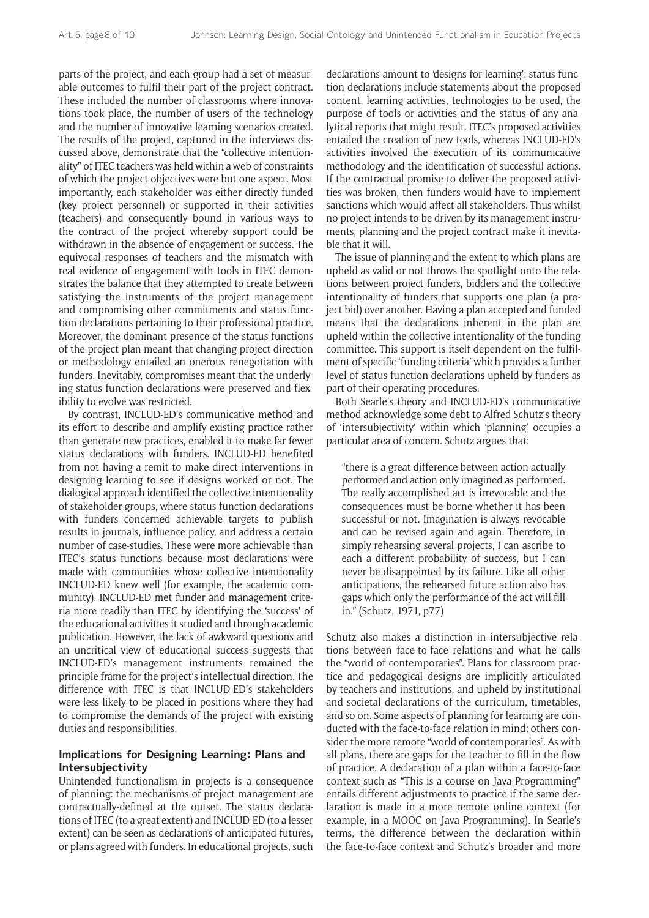parts of the project, and each group had a set of measurable outcomes to fulfil their part of the project contract. These included the number of classrooms where innovations took place, the number of users of the technology and the number of innovative learning scenarios created. The results of the project, captured in the interviews discussed above, demonstrate that the "collective intentionality" of ITEC teachers was held within a web of constraints of which the project objectives were but one aspect. Most importantly, each stakeholder was either directly funded (key project personnel) or supported in their activities (teachers) and consequently bound in various ways to the contract of the project whereby support could be withdrawn in the absence of engagement or success. The equivocal responses of teachers and the mismatch with real evidence of engagement with tools in ITEC demonstrates the balance that they attempted to create between satisfying the instruments of the project management and compromising other commitments and status function declarations pertaining to their professional practice. Moreover, the dominant presence of the status functions of the project plan meant that changing project direction or methodology entailed an onerous renegotiation with funders. Inevitably, compromises meant that the underlying status function declarations were preserved and flexibility to evolve was restricted.

By contrast, INCLUD-ED's communicative method and its effort to describe and amplify existing practice rather than generate new practices, enabled it to make far fewer status declarations with funders. INCLUD-ED benefited from not having a remit to make direct interventions in designing learning to see if designs worked or not. The dialogical approach identified the collective intentionality of stakeholder groups, where status function declarations with funders concerned achievable targets to publish results in journals, influence policy, and address a certain number of case-studies. These were more achievable than ITEC's status functions because most declarations were made with communities whose collective intentionality INCLUD-ED knew well (for example, the academic community). INCLUD-ED met funder and management criteria more readily than ITEC by identifying the 'success' of the educational activities it studied and through academic publication. However, the lack of awkward questions and an uncritical view of educational success suggests that INCLUD-ED's management instruments remained the principle frame for the project's intellectual direction. The difference with ITEC is that INCLUD-ED's stakeholders were less likely to be placed in positions where they had to compromise the demands of the project with existing duties and responsibilities.

#### **Implications for Designing Learning: Plans and Intersubjectivity**

Unintended functionalism in projects is a consequence of planning: the mechanisms of project management are contractually-defined at the outset. The status declarations of ITEC (to a great extent) and INCLUD-ED (to a lesser extent) can be seen as declarations of anticipated futures, or plans agreed with funders. In educational projects, such

declarations amount to 'designs for learning': status function declarations include statements about the proposed content, learning activities, technologies to be used, the purpose of tools or activities and the status of any analytical reports that might result. ITEC's proposed activities entailed the creation of new tools, whereas INCLUD-ED's activities involved the execution of its communicative methodology and the identification of successful actions. If the contractual promise to deliver the proposed activities was broken, then funders would have to implement sanctions which would affect all stakeholders. Thus whilst no project intends to be driven by its management instruments, planning and the project contract make it inevitable that it will.

The issue of planning and the extent to which plans are upheld as valid or not throws the spotlight onto the relations between project funders, bidders and the collective intentionality of funders that supports one plan (a project bid) over another. Having a plan accepted and funded means that the declarations inherent in the plan are upheld within the collective intentionality of the funding committee. This support is itself dependent on the fulfilment of specific 'funding criteria' which provides a further level of status function declarations upheld by funders as part of their operating procedures.

Both Searle's theory and INCLUD-ED's communicative method acknowledge some debt to Alfred Schutz's theory of 'intersubjectivity' within which 'planning' occupies a particular area of concern. Schutz argues that:

"there is a great difference between action actually performed and action only imagined as performed. The really accomplished act is irrevocable and the consequences must be borne whether it has been successful or not. Imagination is always revocable and can be revised again and again. Therefore, in simply rehearsing several projects, I can ascribe to each a different probability of success, but I can never be disappointed by its failure. Like all other anticipations, the rehearsed future action also has gaps which only the performance of the act will fill in." (Schutz, 1971, p77)

Schutz also makes a distinction in intersubjective relations between face-to-face relations and what he calls the "world of contemporaries". Plans for classroom practice and pedagogical designs are implicitly articulated by teachers and institutions, and upheld by institutional and societal declarations of the curriculum, timetables, and so on. Some aspects of planning for learning are conducted with the face-to-face relation in mind; others consider the more remote "world of contemporaries". As with all plans, there are gaps for the teacher to fill in the flow of practice. A declaration of a plan within a face-to-face context such as "This is a course on Java Programming" entails different adjustments to practice if the same declaration is made in a more remote online context (for example, in a MOOC on Java Programming). In Searle's terms, the difference between the declaration within the face-to-face context and Schutz's broader and more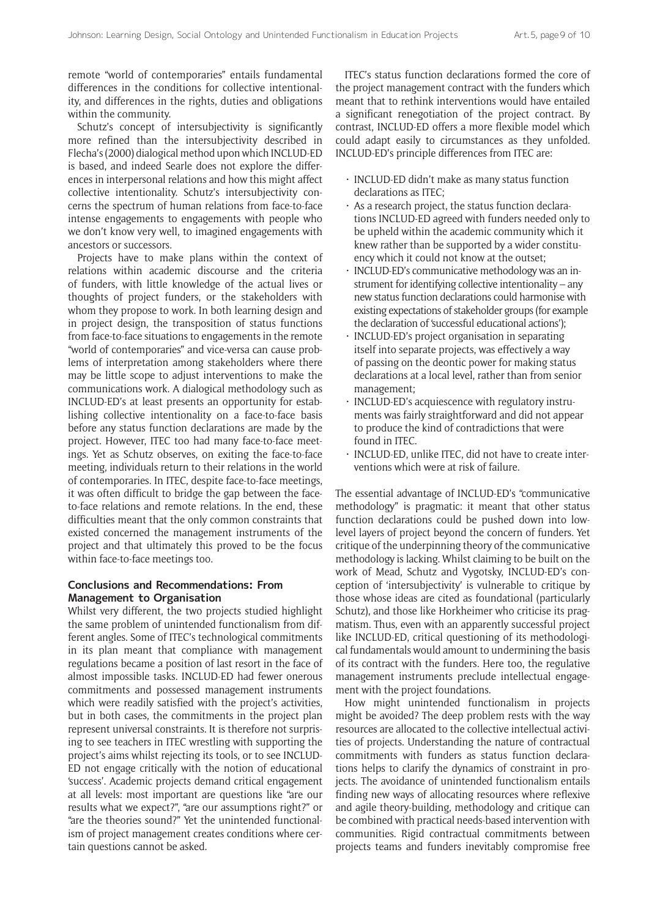remote "world of contemporaries" entails fundamental differences in the conditions for collective intentionality, and differences in the rights, duties and obligations within the community.

Schutz's concept of intersubjectivity is significantly more refined than the intersubjectivity described in Flecha's (2000) dialogical method upon which INCLUD-ED is based, and indeed Searle does not explore the differences in interpersonal relations and how this might affect collective intentionality. Schutz's intersubjectivity concerns the spectrum of human relations from face-to-face intense engagements to engagements with people who we don't know very well, to imagined engagements with ancestors or successors.

Projects have to make plans within the context of relations within academic discourse and the criteria of funders, with little knowledge of the actual lives or thoughts of project funders, or the stakeholders with whom they propose to work. In both learning design and in project design, the transposition of status functions from face-to-face situations to engagements in the remote "world of contemporaries" and vice-versa can cause problems of interpretation among stakeholders where there may be little scope to adjust interventions to make the communications work. A dialogical methodology such as INCLUD-ED's at least presents an opportunity for establishing collective intentionality on a face-to-face basis before any status function declarations are made by the project. However, ITEC too had many face-to-face meetings. Yet as Schutz observes, on exiting the face-to-face meeting, individuals return to their relations in the world of contemporaries. In ITEC, despite face-to-face meetings, it was often difficult to bridge the gap between the faceto-face relations and remote relations. In the end, these difficulties meant that the only common constraints that existed concerned the management instruments of the project and that ultimately this proved to be the focus within face-to-face meetings too.

#### **Conclusions and Recommendations: From Management to Organisation**

Whilst very different, the two projects studied highlight the same problem of unintended functionalism from different angles. Some of ITEC's technological commitments in its plan meant that compliance with management regulations became a position of last resort in the face of almost impossible tasks. INCLUD-ED had fewer onerous commitments and possessed management instruments which were readily satisfied with the project's activities, but in both cases, the commitments in the project plan represent universal constraints. It is therefore not surprising to see teachers in ITEC wrestling with supporting the project's aims whilst rejecting its tools, or to see INCLUD-ED not engage critically with the notion of educational 'success'. Academic projects demand critical engagement at all levels: most important are questions like "are our results what we expect?", "are our assumptions right?" or "are the theories sound?" Yet the unintended functionalism of project management creates conditions where certain questions cannot be asked.

ITEC's status function declarations formed the core of the project management contract with the funders which meant that to rethink interventions would have entailed a significant renegotiation of the project contract. By contrast, INCLUD-ED offers a more flexible model which could adapt easily to circumstances as they unfolded. INCLUD-ED's principle differences from ITEC are:

- INCLUD-ED didn't make as many status function declarations as ITEC;
- As a research project, the status function declarations INCLUD-ED agreed with funders needed only to be upheld within the academic community which it knew rather than be supported by a wider constituency which it could not know at the outset;
- INCLUD-ED's communicative methodology was an instrument for identifying collective intentionality – any new status function declarations could harmonise with existing expectations of stakeholder groups (for example the declaration of 'successful educational actions');
- INCLUD-ED's project organisation in separating itself into separate projects, was effectively a way of passing on the deontic power for making status declarations at a local level, rather than from senior management;
- INCLUD-ED's acquiescence with regulatory instruments was fairly straightforward and did not appear to produce the kind of contradictions that were found in ITEC.
- INCLUD-ED, unlike ITEC, did not have to create interventions which were at risk of failure.

The essential advantage of INCLUD-ED's "communicative methodology" is pragmatic: it meant that other status function declarations could be pushed down into lowlevel layers of project beyond the concern of funders. Yet critique of the underpinning theory of the communicative methodology is lacking. Whilst claiming to be built on the work of Mead, Schutz and Vygotsky, INCLUD-ED's conception of 'intersubjectivity' is vulnerable to critique by those whose ideas are cited as foundational (particularly Schutz), and those like Horkheimer who criticise its pragmatism. Thus, even with an apparently successful project like INCLUD-ED, critical questioning of its methodological fundamentals would amount to undermining the basis of its contract with the funders. Here too, the regulative management instruments preclude intellectual engagement with the project foundations.

How might unintended functionalism in projects might be avoided? The deep problem rests with the way resources are allocated to the collective intellectual activities of projects. Understanding the nature of contractual commitments with funders as status function declarations helps to clarify the dynamics of constraint in projects. The avoidance of unintended functionalism entails finding new ways of allocating resources where reflexive and agile theory-building, methodology and critique can be combined with practical needs-based intervention with communities. Rigid contractual commitments between projects teams and funders inevitably compromise free